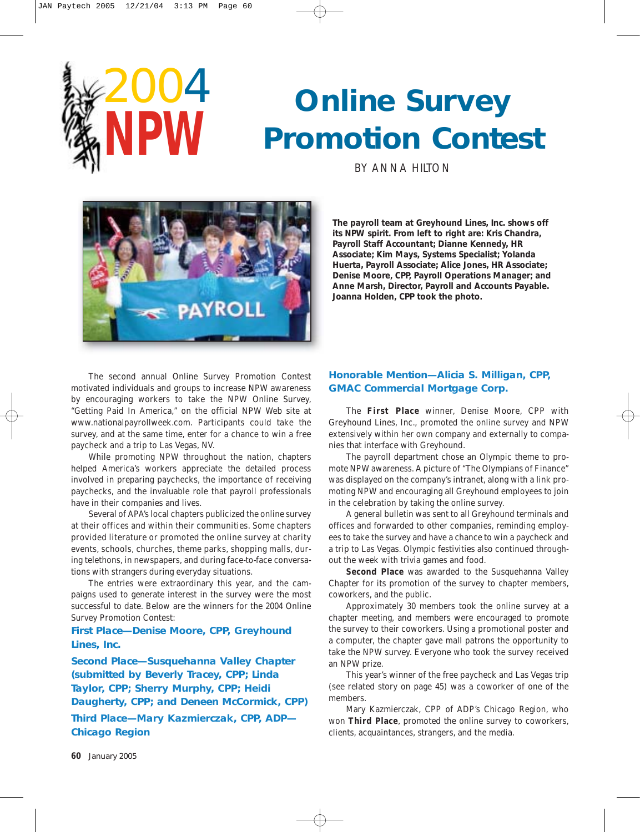



**The payroll team at Greyhound Lines, Inc. shows off its NPW spirit. From left to right are: Kris Chandra, Payroll Staff Accountant; Dianne Kennedy, HR Associate; Kim Mays, Systems Specialist; Yolanda Huerta, Payroll Associate; Alice Jones, HR Associate; Denise Moore, CPP, Payroll Operations Manager; and Anne Marsh, Director, Payroll and Accounts Payable. Joanna Holden, CPP took the photo.**

The second annual Online Survey Promotion Contest motivated individuals and groups to increase NPW awareness by encouraging workers to take the NPW Online Survey, "Getting Paid In America," on the official NPW Web site at www.nationalpayrollweek.com. Participants could take the survey, and at the same time, enter for a chance to win a free paycheck and a trip to Las Vegas, NV.

While promoting NPW throughout the nation, chapters helped America's workers appreciate the detailed process involved in preparing paychecks, the importance of receiving paychecks, and the invaluable role that payroll professionals have in their companies and lives.

Several of APA's local chapters publicized the online survey at their offices and within their communities. Some chapters provided literature or promoted the online survey at charity events, schools, churches, theme parks, shopping malls, during telethons, in newspapers, and during face-to-face conversations with strangers during everyday situations.

The entries were extraordinary this year, and the campaigns used to generate interest in the survey were the most successful to date. Below are the winners for the 2004 Online Survey Promotion Contest:

**First Place—Denise Moore, CPP, Greyhound Lines, Inc.**

**Second Place—Susquehanna Valley Chapter (submitted by Beverly Tracey, CPP; Linda Taylor, CPP; Sherry Murphy, CPP; Heidi Daugherty, CPP; and Deneen McCormick, CPP) Third Place—Mary Kazmierczak, CPP, ADP— Chicago Region**

## **Honorable Mention—Alicia S. Milligan, CPP, GMAC Commercial Mortgage Corp.**

The **First Place** winner, Denise Moore, CPP with Greyhound Lines, Inc., promoted the online survey and NPW extensively within her own company and externally to companies that interface with Greyhound.

The payroll department chose an Olympic theme to promote NPW awareness. A picture of "The Olympians of Finance" was displayed on the company's intranet, along with a link promoting NPW and encouraging all Greyhound employees to join in the celebration by taking the online survey.

A general bulletin was sent to all Greyhound terminals and offices and forwarded to other companies, reminding employees to take the survey and have a chance to win a paycheck and a trip to Las Vegas. Olympic festivities also continued throughout the week with trivia games and food.

**Second Place** was awarded to the Susquehanna Valley Chapter for its promotion of the survey to chapter members, coworkers, and the public.

Approximately 30 members took the online survey at a chapter meeting, and members were encouraged to promote the survey to their coworkers. Using a promotional poster and a computer, the chapter gave mall patrons the opportunity to take the NPW survey. Everyone who took the survey received an NPW prize.

This year's winner of the free paycheck and Las Vegas trip (see related story on page 45) was a coworker of one of the members.

Mary Kazmierczak, CPP of ADP's Chicago Region, who won **Third Place**, promoted the online survey to coworkers, clients, acquaintances, strangers, and the media.